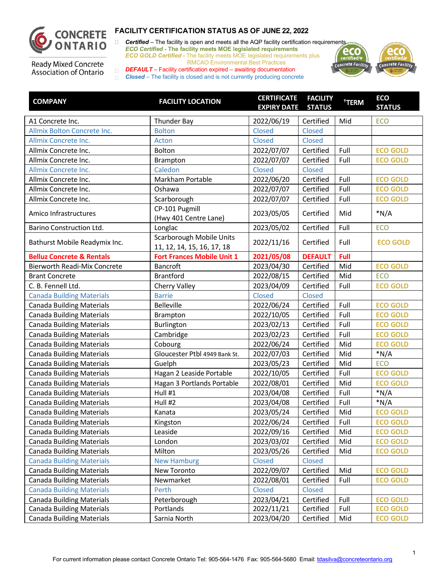

□ **Certified** – The facility is open and meets all the AQP facility certification requirements *ECO Certified -* **The facility meets MOE legislated requirements** *ECO GOLD Certified -* The facility meets MOE legislated requirements plus RMCAO Environmental Best Practices



**Ready Mixed Concrete** Association of Ontario

| <b>COMPANY</b>                       | <b>FACILITY LOCATION</b>                               | <b>CERTIFICATE</b><br><b>EXPIRY DATE STATUS</b> | <b>FACILITY</b> | <sup>†</sup> TERM | <b>ECO</b><br><b>STATUS</b> |
|--------------------------------------|--------------------------------------------------------|-------------------------------------------------|-----------------|-------------------|-----------------------------|
| A1 Concrete Inc.                     | Thunder Bay                                            | 2022/06/19                                      | Certified       | Mid               | <b>ECO</b>                  |
| Allmix Bolton Concrete Inc.          | <b>Bolton</b>                                          | <b>Closed</b>                                   | Closed          |                   |                             |
| Allmix Concrete Inc.                 | Acton                                                  | Closed                                          | Closed          |                   |                             |
| Allmix Concrete Inc.                 | Bolton                                                 | 2022/07/07                                      | Certified       | Full              | <b>ECO GOLD</b>             |
| Allmix Concrete Inc.                 | Brampton                                               | 2022/07/07                                      | Certified       | Full              | <b>ECO GOLD</b>             |
| Allmix Concrete Inc.                 | Caledon                                                | Closed                                          | Closed          |                   |                             |
| Allmix Concrete Inc.                 | Markham Portable                                       | 2022/06/20                                      | Certified       | Full              | <b>ECO GOLD</b>             |
| Allmix Concrete Inc.                 | Oshawa                                                 | 2022/07/07                                      | Certified       | Full              | <b>ECO GOLD</b>             |
| Allmix Concrete Inc.                 | Scarborough                                            | 2022/07/07                                      | Certified       | Full              | <b>ECO GOLD</b>             |
| Amico Infrastructures                | CP-101 Pugmill<br>(Hwy 401 Centre Lane)                | 2023/05/05                                      | Certified       | Mid               | $*N/A$                      |
| Barino Construction Ltd.             | Longlac                                                | 2023/05/02                                      | Certified       | Full              | <b>ECO</b>                  |
| Bathurst Mobile Readymix Inc.        | Scarborough Mobile Units<br>11, 12, 14, 15, 16, 17, 18 | 2022/11/16                                      | Certified       | Full              | <b>ECO GOLD</b>             |
| <b>Belluz Concrete &amp; Rentals</b> | <b>Fort Frances Mobile Unit 1</b>                      | 2021/05/08                                      | <b>DEFAULT</b>  | Full              |                             |
| <b>Bierworth Readi-Mix Concrete</b>  | <b>Bancroft</b>                                        | 2023/04/30                                      | Certified       | Mid               | <b>ECO GOLD</b>             |
| <b>Brant Concrete</b>                | <b>Brantford</b>                                       | 2022/08/15                                      | Certified       | Mid               | <b>ECO</b>                  |
| C. B. Fennell Ltd.                   | Cherry Valley                                          | 2023/04/09                                      | Certified       | Full              | <b>ECO GOLD</b>             |
| <b>Canada Building Materials</b>     | <b>Barrie</b>                                          | Closed                                          | Closed          |                   |                             |
| <b>Canada Building Materials</b>     | <b>Belleville</b>                                      | 2022/06/24                                      | Certified       | Full              | <b>ECO GOLD</b>             |
| <b>Canada Building Materials</b>     | Brampton                                               | 2022/10/05                                      | Certified       | Full              | <b>ECO GOLD</b>             |
| <b>Canada Building Materials</b>     | Burlington                                             | 2023/02/13                                      | Certified       | Full              | <b>ECO GOLD</b>             |
| <b>Canada Building Materials</b>     | Cambridge                                              | 2023/02/23                                      | Certified       | Full              | <b>ECO GOLD</b>             |
| <b>Canada Building Materials</b>     | Cobourg                                                | 2022/06/24                                      | Certified       | Mid               | <b>ECO GOLD</b>             |
| <b>Canada Building Materials</b>     | Gloucester Ptbl 4949 Bank St.                          | 2022/07/03                                      | Certified       | Mid               | $*N/A$                      |
| <b>Canada Building Materials</b>     | Guelph                                                 | 2023/05/23                                      | Certified       | Mid               | <b>ECO</b>                  |
| <b>Canada Building Materials</b>     | Hagan 2 Leaside Portable                               | 2022/10/05                                      | Certified       | Full              | <b>ECO GOLD</b>             |
| <b>Canada Building Materials</b>     | Hagan 3 Portlands Portable                             | 2022/08/01                                      | Certified       | Mid               | <b>ECO GOLD</b>             |
| <b>Canada Building Materials</b>     | Hull #1                                                | 2023/04/08                                      | Certified       | Full              | $*N/A$                      |
| <b>Canada Building Materials</b>     | Hull #2                                                | 2023/04/08                                      | Certified       | Full              | $*N/A$                      |
| <b>Canada Building Materials</b>     | Kanata                                                 | 2023/05/24                                      | Certified       | Mid               | <b>ECO GOLD</b>             |
| <b>Canada Building Materials</b>     | Kingston                                               | 2022/06/24                                      | Certified       | Full              | <b>ECO GOLD</b>             |
| <b>Canada Building Materials</b>     | Leaside                                                | 2022/09/16                                      | Certified       | Mid               | <b>ECO GOLD</b>             |
| <b>Canada Building Materials</b>     | London                                                 | 2023/03/01                                      | Certified       | Mid               | <b>ECO GOLD</b>             |
| <b>Canada Building Materials</b>     | Milton                                                 | 2023/05/26                                      | Certified       | Mid               | <b>ECO GOLD</b>             |
| <b>Canada Building Materials</b>     | <b>New Hamburg</b>                                     | Closed                                          | Closed          |                   |                             |
| <b>Canada Building Materials</b>     | New Toronto                                            | 2022/09/07                                      | Certified       | Mid               | <b>ECO GOLD</b>             |
| <b>Canada Building Materials</b>     | Newmarket                                              | 2022/08/01                                      | Certified       | Full              | <b>ECO GOLD</b>             |
| <b>Canada Building Materials</b>     | Perth                                                  | Closed                                          | Closed          |                   |                             |
| <b>Canada Building Materials</b>     | Peterborough                                           | 2023/04/21                                      | Certified       | Full              | <b>ECO GOLD</b>             |
| <b>Canada Building Materials</b>     | Portlands                                              | 2022/11/21                                      | Certified       | Full              | <b>ECO GOLD</b>             |
| <b>Canada Building Materials</b>     | Sarnia North                                           | 2023/04/20                                      | Certified       | Mid               | <b>ECO GOLD</b>             |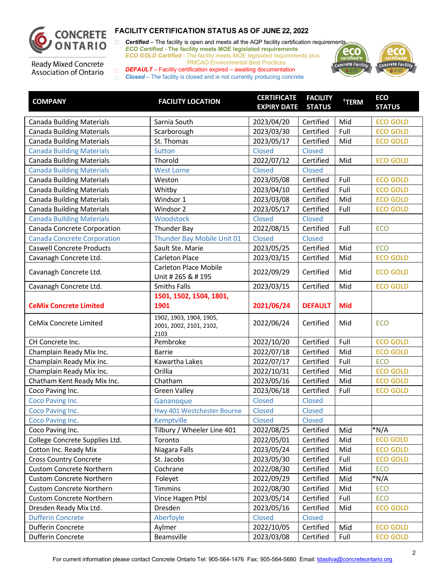

□ **Certified** – The facility is open and meets all the AQP facility certification requirements *ECO Certified -* **The facility meets MOE legislated requirements** *ECO GOLD Certified -* The facility meets MOE legislated requirements plus RMCAO Environmental Best Practices



**Ready Mixed Concrete** Association of Ontario

| <b>COMPANY</b>                     | <b>FACILITY LOCATION</b>                                   | <b>CERTIFICATE</b><br><b>EXPIRY DATE</b> | <b>FACILITY</b><br><b>STATUS</b> | <sup>†</sup> TERM | <b>ECO</b><br><b>STATUS</b> |
|------------------------------------|------------------------------------------------------------|------------------------------------------|----------------------------------|-------------------|-----------------------------|
| <b>Canada Building Materials</b>   | Sarnia South                                               | 2023/04/20                               | Certified                        | Mid               | <b>ECO GOLD</b>             |
| <b>Canada Building Materials</b>   | Scarborough                                                | 2023/03/30                               | Certified                        | Full              | <b>ECO GOLD</b>             |
| <b>Canada Building Materials</b>   | St. Thomas                                                 | 2023/05/17                               | Certified                        | Mid               | <b>ECO GOLD</b>             |
| <b>Canada Building Materials</b>   | <b>Sutton</b>                                              | Closed                                   | Closed                           |                   |                             |
| <b>Canada Building Materials</b>   | Thorold                                                    | 2022/07/12                               | Certified                        | Mid               | <b>ECO GOLD</b>             |
| <b>Canada Building Materials</b>   | <b>West Lorne</b>                                          | Closed                                   | Closed                           |                   |                             |
| <b>Canada Building Materials</b>   | Weston                                                     | 2023/05/08                               | Certified                        | Full              | <b>ECO GOLD</b>             |
| <b>Canada Building Materials</b>   | Whitby                                                     | 2023/04/10                               | Certified                        | Full              | <b>ECO GOLD</b>             |
| <b>Canada Building Materials</b>   | Windsor 1                                                  | 2023/03/08                               | Certified                        | Mid               | <b>ECO GOLD</b>             |
| <b>Canada Building Materials</b>   | Windsor 2                                                  | 2023/05/17                               | Certified                        | Full              | <b>ECO GOLD</b>             |
| <b>Canada Building Materials</b>   | Woodstock                                                  | Closed                                   | Closed                           |                   |                             |
| Canada Concrete Corporation        | Thunder Bay                                                | 2022/08/15                               | Certified                        | Full              | <b>ECO</b>                  |
| <b>Canada Concrete Corporation</b> | Thunder Bay Mobile Unit 01                                 | Closed                                   | Closed                           |                   |                             |
| <b>Caswell Concrete Products</b>   | Sault Ste. Marie                                           | 2023/05/25                               | Certified                        | Mid               | <b>ECO</b>                  |
| Cavanagh Concrete Ltd.             | Carleton Place                                             | 2023/03/15                               | Certified                        | Mid               | <b>ECO GOLD</b>             |
| Cavanagh Concrete Ltd.             | <b>Carleton Place Mobile</b><br>Unit # 265 & # 195         | 2022/09/29                               | Certified                        | Mid               | <b>ECO GOLD</b>             |
| Cavanagh Concrete Ltd.             | <b>Smiths Falls</b>                                        | 2023/03/15                               | Certified                        | Mid               | <b>ECO GOLD</b>             |
| <b>CeMix Concrete Limited</b>      | 1501, 1502, 1504, 1801,<br>1901                            | 2021/06/24                               | <b>DEFAULT</b>                   | <b>Mid</b>        |                             |
| CeMix Concrete Limited             | 1902, 1903, 1904, 1905,<br>2001, 2002, 2101, 2102,<br>2103 | 2022/06/24                               | Certified                        | Mid               | <b>ECO</b>                  |
| CH Concrete Inc.                   | Pembroke                                                   | 2022/10/20                               | Certified                        | Full              | <b>ECO GOLD</b>             |
| Champlain Ready Mix Inc.           | <b>Barrie</b>                                              | 2022/07/18                               | Certified                        | Mid               | <b>ECO GOLD</b>             |
| Champlain Ready Mix Inc.           | Kawartha Lakes                                             | 2022/07/17                               | Certified                        | Full              | <b>ECO</b>                  |
| Champlain Ready Mix Inc.           | Orillia                                                    | 2022/10/31                               | Certified                        | Mid               | <b>ECO GOLD</b>             |
| Chatham Kent Ready Mix Inc.        | Chatham                                                    | 2023/05/16                               | Certified                        | Mid               | <b>ECO GOLD</b>             |
| Coco Paving Inc.                   | <b>Green Valley</b>                                        | 2023/06/18                               | Certified                        | Full              | <b>ECO GOLD</b>             |
| Coco Paving Inc.                   | Gananoque                                                  | Closed                                   | Closed                           |                   |                             |
| Coco Paving Inc.                   | Hwy 401 Westchester Bourne                                 | Closed                                   | Closed                           |                   |                             |
| Coco Paving Inc.                   | Kemptville                                                 | Closed                                   | Closed                           |                   |                             |
| Coco Paving Inc.                   | Tilbury / Wheeler Line 401                                 | 2022/08/25                               | Certified                        | Mid               | $*N/A$                      |
| College Concrete Supplies Ltd.     | Toronto                                                    | 2022/05/01                               | Certified                        | Mid               | <b>ECO GOLD</b>             |
| Cotton Inc. Ready Mix              | Niagara Falls                                              | 2023/05/24                               | Certified                        | Mid               | <b>ECO GOLD</b>             |
| <b>Cross Country Concrete</b>      | St. Jacobs                                                 | 2023/05/30                               | Certified                        | Full              | <b>ECO GOLD</b>             |
| <b>Custom Concrete Northern</b>    | Cochrane                                                   | 2022/08/30                               | Certified                        | Mid               | <b>ECO</b>                  |
| <b>Custom Concrete Northern</b>    | Foleyet                                                    | 2022/09/29                               | Certified                        | Mid               | *N/A                        |
| <b>Custom Concrete Northern</b>    | <b>Timmins</b>                                             | 2022/08/30                               | Certified                        | Mid               | <b>ECO</b>                  |
| <b>Custom Concrete Northern</b>    | Vince Hagen Ptbl                                           | 2023/05/14                               | Certified                        | Full              | <b>ECO</b>                  |
| Dresden Ready Mix Ltd.             | Dresden                                                    | 2023/05/16                               | Certified                        | Mid               | <b>ECO GOLD</b>             |
| <b>Dufferin Concrete</b>           | Aberfoyle                                                  | Closed                                   | Closed                           |                   |                             |
| Dufferin Concrete                  | Aylmer                                                     | 2022/10/05                               | Certified                        | Mid               | <b>ECO GOLD</b>             |
| Dufferin Concrete                  | Beamsville                                                 | 2023/03/08                               | Certified                        | Full              | <b>ECO GOLD</b>             |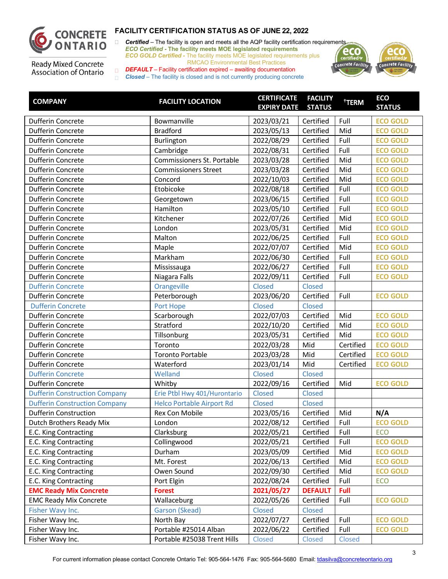

□ **Certified** – The facility is open and meets all the AQP facility certification requirements *ECO Certified -* **The facility meets MOE legislated requirements** *ECO GOLD Certified -* The facility meets MOE legislated requirements plus RMCAO Environmental Best Practices



**Ready Mixed Concrete** Association of Ontario

| <b>COMPANY</b>                       | <b>FACILITY LOCATION</b>         | <b>CERTIFICATE</b><br><b>EXPIRY DATE</b> | <b>FACILITY</b><br><b>STATUS</b> | <sup>†</sup> TERM | <b>ECO</b><br><b>STATUS</b> |
|--------------------------------------|----------------------------------|------------------------------------------|----------------------------------|-------------------|-----------------------------|
|                                      |                                  |                                          |                                  |                   |                             |
| Dufferin Concrete                    | Bowmanville                      | 2023/03/21                               | Certified                        | Full              | <b>ECO GOLD</b>             |
| Dufferin Concrete                    | <b>Bradford</b>                  | 2023/05/13                               | Certified                        | Mid               | <b>ECO GOLD</b>             |
| Dufferin Concrete                    | Burlington                       | 2022/08/29                               | Certified                        | Full              | <b>ECO GOLD</b>             |
| Dufferin Concrete                    | Cambridge                        | 2022/08/31                               | Certified                        | Full              | <b>ECO GOLD</b>             |
| Dufferin Concrete                    | Commissioners St. Portable       | 2023/03/28                               | Certified                        | Mid               | <b>ECO GOLD</b>             |
| Dufferin Concrete                    | <b>Commissioners Street</b>      | 2023/03/28                               | Certified                        | Mid               | <b>ECO GOLD</b>             |
| Dufferin Concrete                    | Concord                          | 2022/10/03                               | Certified                        | Mid               | <b>ECO GOLD</b>             |
| Dufferin Concrete                    | Etobicoke                        | 2022/08/18                               | Certified                        | Full              | <b>ECO GOLD</b>             |
| Dufferin Concrete                    | Georgetown                       | 2023/06/15                               | Certified                        | Full              | <b>ECO GOLD</b>             |
| Dufferin Concrete                    | Hamilton                         | 2023/05/10                               | Certified                        | Full              | <b>ECO GOLD</b>             |
| Dufferin Concrete                    | Kitchener                        | 2022/07/26                               | Certified                        | Mid               | <b>ECO GOLD</b>             |
| Dufferin Concrete                    | London                           | 2023/05/31                               | Certified                        | Mid               | <b>ECO GOLD</b>             |
| Dufferin Concrete                    | Malton                           | 2022/06/25                               | Certified                        | Full              | <b>ECO GOLD</b>             |
| Dufferin Concrete                    | Maple                            | 2022/07/07                               | Certified                        | Mid               | <b>ECO GOLD</b>             |
| Dufferin Concrete                    | Markham                          | 2022/06/30                               | Certified                        | Full              | <b>ECO GOLD</b>             |
| Dufferin Concrete                    | Mississauga                      | 2022/06/27                               | Certified                        | Full              | <b>ECO GOLD</b>             |
| Dufferin Concrete                    | Niagara Falls                    | 2022/09/11                               | Certified                        | Full              | <b>ECO GOLD</b>             |
| <b>Dufferin Concrete</b>             | Orangeville                      | Closed                                   | Closed                           |                   |                             |
| Dufferin Concrete                    | Peterborough                     | 2023/06/20                               | Certified                        | Full              | <b>ECO GOLD</b>             |
| <b>Dufferin Concrete</b>             | Port Hope                        | Closed                                   | Closed                           |                   |                             |
| Dufferin Concrete                    | Scarborough                      | 2022/07/03                               | Certified                        | Mid               | <b>ECO GOLD</b>             |
| Dufferin Concrete                    | Stratford                        | 2022/10/20                               | Certified                        | Mid               | <b>ECO GOLD</b>             |
| Dufferin Concrete                    | Tillsonburg                      | 2023/05/31                               | Certified                        | Mid               | <b>ECO GOLD</b>             |
| Dufferin Concrete                    | Toronto                          | 2022/03/28                               | Mid                              | Certified         | <b>ECO GOLD</b>             |
| Dufferin Concrete                    | <b>Toronto Portable</b>          | 2023/03/28                               | Mid                              | Certified         | <b>ECO GOLD</b>             |
| Dufferin Concrete                    | Waterford                        | 2023/01/14                               | Mid                              | Certified         | <b>ECO GOLD</b>             |
| <b>Dufferin Concrete</b>             | Welland                          | Closed                                   | <b>Closed</b>                    |                   |                             |
| Dufferin Concrete                    | Whitby                           | 2022/09/16                               | Certified                        | Mid               | <b>ECO GOLD</b>             |
| <b>Dufferin Construction Company</b> | Erie Ptbl Hwy 401/Hurontario     | Closed                                   | Closed                           |                   |                             |
| <b>Dufferin Construction Company</b> | <b>Helco Portable Airport Rd</b> | Closed                                   | Closed                           |                   |                             |
| <b>Dufferin Construction</b>         | Rex Con Mobile                   | 2023/05/16                               | Certified                        | Mid               | N/A                         |
| Dutch Brothers Ready Mix             | London                           | 2022/08/12                               | Certified                        | Full              | <b>ECO GOLD</b>             |
| E.C. King Contracting                | Clarksburg                       | 2022/05/21                               | Certified                        | Full              | <b>ECO</b>                  |
| E.C. King Contracting                | Collingwood                      | 2022/05/21                               | Certified                        | Full              | <b>ECO GOLD</b>             |
| E.C. King Contracting                | Durham                           | 2023/05/09                               | Certified                        | Mid               | <b>ECO GOLD</b>             |
| E.C. King Contracting                | Mt. Forest                       | 2022/06/13                               | Certified                        | Mid               | <b>ECO GOLD</b>             |
| E.C. King Contracting                | Owen Sound                       | 2022/09/30                               | Certified                        | Mid               | <b>ECO GOLD</b>             |
| E.C. King Contracting                | Port Elgin                       | 2022/08/24                               | Certified                        | Full              | <b>ECO</b>                  |
| <b>EMC Ready Mix Concrete</b>        | <b>Forest</b>                    | 2021/05/27                               | <b>DEFAULT</b>                   | <b>Full</b>       |                             |
| <b>EMC Ready Mix Concrete</b>        | Wallaceburg                      | 2022/05/26                               | Certified                        | Full              | <b>ECO GOLD</b>             |
| Fisher Wavy Inc.                     | Garson (Skead)                   | Closed                                   | Closed                           |                   |                             |
| Fisher Wavy Inc.                     | North Bay                        | 2022/07/27                               | Certified                        | Full              | <b>ECO GOLD</b>             |
| Fisher Wavy Inc.                     | Portable #25014 Alban            | 2022/06/22                               | Certified                        | Full              | <b>ECO GOLD</b>             |
| Fisher Wavy Inc.                     | Portable #25038 Trent Hills      | Closed                                   | Closed                           | Closed            |                             |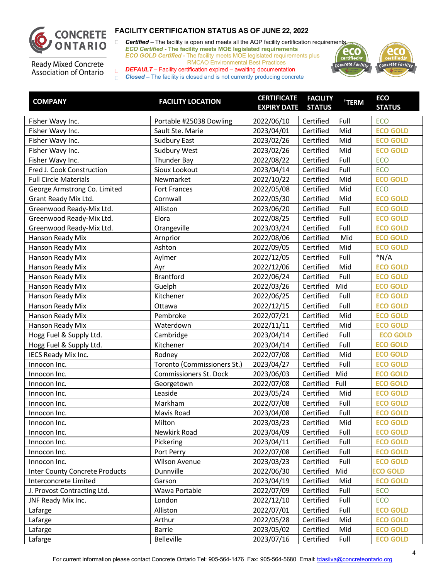

□ **Certified** – The facility is open and meets all the AQP facility certification requirements *ECO Certified -* **The facility meets MOE legislated requirements** *ECO GOLD Certified -* The facility meets MOE legislated requirements plus RMCAO Environmental Best Practices



**Ready Mixed Concrete** Association of Ontario

| <b>COMPANY</b>                        | <b>FACILITY LOCATION</b>    | <b>CERTIFICATE</b><br><b>EXPIRY DATE STATUS</b> | <b>FACILITY</b> | <sup>†</sup> TERM | <b>ECO</b><br><b>STATUS</b> |
|---------------------------------------|-----------------------------|-------------------------------------------------|-----------------|-------------------|-----------------------------|
| Fisher Wavy Inc.                      | Portable #25038 Dowling     | 2022/06/10                                      | Certified       | Full              | ECO                         |
| Fisher Wavy Inc.                      | Sault Ste. Marie            | 2023/04/01                                      | Certified       | Mid               | <b>ECO GOLD</b>             |
| Fisher Wavy Inc.                      | <b>Sudbury East</b>         | 2023/02/26                                      | Certified       | Mid               | <b>ECO GOLD</b>             |
| Fisher Wavy Inc.                      | Sudbury West                | 2023/02/26                                      | Certified       | Mid               | <b>ECO GOLD</b>             |
| Fisher Wavy Inc.                      | Thunder Bay                 | 2022/08/22                                      | Certified       | Full              | ECO                         |
| Fred J. Cook Construction             | Sioux Lookout               | 2023/04/14                                      | Certified       | Full              | ECO                         |
| <b>Full Circle Materials</b>          | Newmarket                   | 2022/10/22                                      | Certified       | Mid               | <b>ECO GOLD</b>             |
| George Armstrong Co. Limited          | Fort Frances                | 2022/05/08                                      | Certified       | Mid               | ECO                         |
| Grant Ready Mix Ltd.                  | Cornwall                    | 2022/05/30                                      | Certified       | Mid               | <b>ECO GOLD</b>             |
| Greenwood Ready-Mix Ltd.              | Alliston                    | 2023/06/20                                      | Certified       | Full              | <b>ECO GOLD</b>             |
| Greenwood Ready-Mix Ltd.              | Elora                       | 2022/08/25                                      | Certified       | Full              | <b>ECO GOLD</b>             |
| Greenwood Ready-Mix Ltd.              | Orangeville                 | 2023/03/24                                      | Certified       | Full              | <b>ECO GOLD</b>             |
| Hanson Ready Mix                      | Arnprior                    | 2022/08/06                                      | Certified       | Mid               | <b>ECO GOLD</b>             |
| Hanson Ready Mix                      | Ashton                      | 2022/09/05                                      | Certified       | Mid               | <b>ECO GOLD</b>             |
| Hanson Ready Mix                      | Aylmer                      | 2022/12/05                                      | Certified       | Full              | $*N/A$                      |
| Hanson Ready Mix                      | Ayr                         | 2022/12/06                                      | Certified       | Mid               | <b>ECO GOLD</b>             |
| Hanson Ready Mix                      | <b>Brantford</b>            | 2022/06/24                                      | Certified       | Full              | <b>ECO GOLD</b>             |
| Hanson Ready Mix                      | Guelph                      | 2022/03/26                                      | Certified       | Mid               | <b>ECO GOLD</b>             |
| Hanson Ready Mix                      | Kitchener                   | 2022/06/25                                      | Certified       | Full              | <b>ECO GOLD</b>             |
| Hanson Ready Mix                      | Ottawa                      | 2022/12/15                                      | Certified       | Full              | <b>ECO GOLD</b>             |
| Hanson Ready Mix                      | Pembroke                    | 2022/07/21                                      | Certified       | Mid               | <b>ECO GOLD</b>             |
| Hanson Ready Mix                      | Waterdown                   | 2022/11/11                                      | Certified       | Mid               | <b>ECO GOLD</b>             |
| Hogg Fuel & Supply Ltd.               | Cambridge                   | 2023/04/14                                      | Certified       | Full              | <b>ECO GOLD</b>             |
| Hogg Fuel & Supply Ltd.               | Kitchener                   | 2023/04/14                                      | Certified       | Full              | <b>ECO GOLD</b>             |
| IECS Ready Mix Inc.                   | Rodney                      | 2022/07/08                                      | Certified       | Mid               | <b>ECO GOLD</b>             |
| Innocon Inc.                          | Toronto (Commissioners St.) | 2023/04/27                                      | Certified       | Full              | <b>ECO GOLD</b>             |
| Innocon Inc.                          | Commissioners St. Dock      | 2023/06/03                                      | Certified       | Mid               | <b>ECO GOLD</b>             |
| Innocon Inc.                          | Georgetown                  | 2022/07/08                                      | Certified       | Full              | <b>ECO GOLD</b>             |
| Innocon Inc.                          | Leaside                     | 2023/05/24                                      | Certified       | Mid               | <b>ECO GOLD</b>             |
| Innocon Inc.                          | Markham                     | 2022/07/08                                      | Certified       | Full              | <b>ECO GOLD</b>             |
| Innocon Inc.                          | Mavis Road                  | 2023/04/08                                      | Certified       | Full              | <b>ECO GOLD</b>             |
| Innocon Inc.                          | Milton                      | 2023/03/23                                      | Certified       | Mid               | <b>ECO GOLD</b>             |
| Innocon Inc.                          | Newkirk Road                | 2023/04/09                                      | Certified       | Full              | <b>ECO GOLD</b>             |
| Innocon Inc.                          | Pickering                   | 2023/04/11                                      | Certified       | Full              | <b>ECO GOLD</b>             |
| Innocon Inc.                          | Port Perry                  | 2022/07/08                                      | Certified       | Full              | <b>ECO GOLD</b>             |
| Innocon Inc.                          | Wilson Avenue               | 2023/03/23                                      | Certified       | Full              | <b>ECO GOLD</b>             |
| <b>Inter County Concrete Products</b> | Dunnville                   | 2022/06/30                                      | Certified       | Mid               | <b>ECO GOLD</b>             |
| Interconcrete Limited                 | Garson                      | 2023/04/19                                      | Certified       | Mid               | <b>ECO GOLD</b>             |
| J. Provost Contracting Ltd.           | Wawa Portable               | 2022/07/09                                      | Certified       | Full              | <b>ECO</b>                  |
| JNF Ready Mix Inc.                    | London                      | 2022/12/10                                      | Certified       | Full              | <b>ECO</b>                  |
| Lafarge                               | Alliston                    | 2022/07/01                                      | Certified       | Full              | <b>ECO GOLD</b>             |
| Lafarge                               | Arthur                      | 2022/05/28                                      | Certified       | Mid               | <b>ECO GOLD</b>             |
| Lafarge                               | Barrie                      | 2023/05/02                                      | Certified       | Mid               | <b>ECO GOLD</b>             |
| Lafarge                               | Belleville                  | 2023/07/16                                      | Certified       | Full              | <b>ECO GOLD</b>             |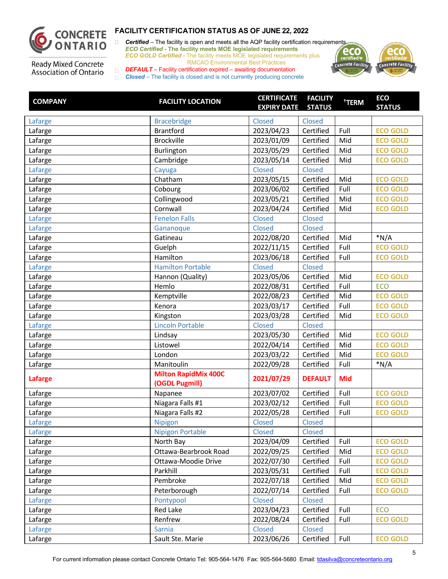

□ **Certified** – The facility is open and meets all the AQP facility certification requirements *ECO Certified -* **The facility meets MOE legislated requirements** *ECO GOLD Certified -* The facility meets MOE legislated requirements plus RMCAO Environmental Best Practices



**Ready Mixed Concrete** Association of Ontario

| <b>COMPANY</b> | <b>FACILITY LOCATION</b>                      | <b>CERTIFICATE</b><br><b>EXPIRY DATE STATUS</b> | <b>FACILITY</b> | <sup>†</sup> TERM | <b>ECO</b><br><b>STATUS</b> |
|----------------|-----------------------------------------------|-------------------------------------------------|-----------------|-------------------|-----------------------------|
| Lafarge        | <b>Bracebridge</b>                            | Closed                                          | <b>Closed</b>   |                   |                             |
| Lafarge        | <b>Brantford</b>                              | 2023/04/23                                      | Certified       | Full              | <b>ECO GOLD</b>             |
| Lafarge        | <b>Brockville</b>                             | 2023/01/09                                      | Certified       | Mid               | <b>ECO GOLD</b>             |
| Lafarge        | Burlington                                    | 2023/05/29                                      | Certified       | Mid               | <b>ECO GOLD</b>             |
| Lafarge        | Cambridge                                     | 2023/05/14                                      | Certified       | Mid               | <b>ECO GOLD</b>             |
| Lafarge        | Cayuga                                        | <b>Closed</b>                                   | Closed          |                   |                             |
| Lafarge        | Chatham                                       | 2023/05/15                                      | Certified       | Mid               | <b>ECO GOLD</b>             |
| Lafarge        | Cobourg                                       | 2023/06/02                                      | Certified       | Full              | <b>ECO GOLD</b>             |
| Lafarge        | Collingwood                                   | 2023/05/21                                      | Certified       | Mid               | <b>ECO GOLD</b>             |
| Lafarge        | Cornwall                                      | 2023/04/24                                      | Certified       | Mid               | <b>ECO GOLD</b>             |
| Lafarge        | <b>Fenelon Falls</b>                          | <b>Closed</b>                                   | Closed          |                   |                             |
| Lafarge        | Gananoque                                     | Closed                                          | Closed          |                   |                             |
| Lafarge        | Gatineau                                      | 2022/08/20                                      | Certified       | Mid               | $*N/A$                      |
| Lafarge        | Guelph                                        | 2022/11/15                                      | Certified       | Full              | <b>ECO GOLD</b>             |
| Lafarge        | Hamilton                                      | 2023/06/18                                      | Certified       | Full              | <b>ECO GOLD</b>             |
| Lafarge        | <b>Hamilton Portable</b>                      | <b>Closed</b>                                   | Closed          |                   |                             |
| Lafarge        | Hannon (Quality)                              | 2023/05/06                                      | Certified       | Mid               | <b>ECO GOLD</b>             |
| Lafarge        | Hemlo                                         | 2022/08/31                                      | Certified       | Full              | <b>ECO</b>                  |
| Lafarge        | Kemptville                                    | 2022/08/23                                      | Certified       | Mid               | <b>ECO GOLD</b>             |
| Lafarge        | Kenora                                        | 2023/03/17                                      | Certified       | Full              | <b>ECO GOLD</b>             |
| Lafarge        | Kingston                                      | 2023/03/28                                      | Certified       | Mid               | <b>ECO GOLD</b>             |
| Lafarge        | <b>Lincoln Portable</b>                       | <b>Closed</b>                                   | <b>Closed</b>   |                   |                             |
| Lafarge        | Lindsay                                       | 2023/05/30                                      | Certified       | Mid               | <b>ECO GOLD</b>             |
| Lafarge        | Listowel                                      | 2022/04/14                                      | Certified       | Mid               | <b>ECO GOLD</b>             |
| Lafarge        | London                                        | 2023/03/22                                      | Certified       | Mid               | <b>ECO GOLD</b>             |
| Lafarge        | Manitoulin                                    | 2022/09/28                                      | Certified       | Full              | $*N/A$                      |
| <b>Lafarge</b> | <b>Milton RapidMix 400C</b><br>(OGDL Pugmill) | 2021/07/29                                      | <b>DEFAULT</b>  | <b>Mid</b>        |                             |
| Lafarge        | Napanee                                       | 2023/07/02                                      | Certified       | Full              | <b>ECO GOLD</b>             |
| Lafarge        | Niagara Falls #1                              | 2023/02/12                                      | Certified       | Full              | <b>ECO GOLD</b>             |
| Lafarge        | Niagara Falls #2                              | 2022/05/28                                      | Certified       | Full              | <b>ECO GOLD</b>             |
| Lafarge        | Nipigon                                       | Closed                                          | Closed          |                   |                             |
| Lafarge        | <b>Nipigon Portable</b>                       | <b>Closed</b>                                   | Closed          |                   |                             |
| Lafarge        | North Bay                                     | 2023/04/09                                      | Certified       | Full              | <b>ECO GOLD</b>             |
| Lafarge        | Ottawa-Bearbrook Road                         | 2022/09/25                                      | Certified       | Mid               | <b>ECO GOLD</b>             |
| Lafarge        | Ottawa-Moodie Drive                           | 2022/07/30                                      | Certified       | Full              | <b>ECO GOLD</b>             |
| Lafarge        | Parkhill                                      | 2023/05/31                                      | Certified       | Full              | <b>ECO GOLD</b>             |
| Lafarge        | Pembroke                                      | 2022/07/18                                      | Certified       | Mid               | <b>ECO GOLD</b>             |
| Lafarge        | Peterborough                                  | 2022/07/14                                      | Certified       | Full              | <b>ECO GOLD</b>             |
| Lafarge        | Pontypool                                     | Closed                                          | Closed          |                   |                             |
| Lafarge        | Red Lake                                      | 2023/04/23                                      | Certified       | Full              | ECO                         |
| Lafarge        | Renfrew                                       | 2022/08/24                                      | Certified       | Full              | <b>ECO GOLD</b>             |
| Lafarge        | Sarnia                                        | <b>Closed</b>                                   | Closed          |                   |                             |
| Lafarge        | Sault Ste. Marie                              | 2023/06/26                                      | Certified       | Full              | <b>ECO GOLD</b>             |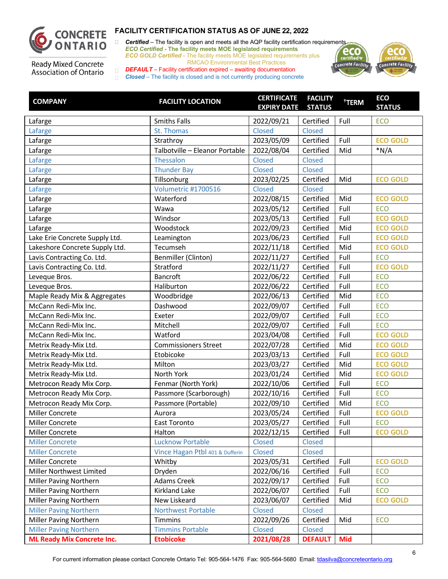

□ **Certified** – The facility is open and meets all the AQP facility certification requirements *ECO Certified -* **The facility meets MOE legislated requirements** *ECO GOLD Certified -* The facility meets MOE legislated requirements plus RMCAO Environmental Best Practices



**Ready Mixed Concrete** Association of Ontario

| <b>COMPANY</b>                    | <b>FACILITY LOCATION</b>        | <b>CERTIFICATE</b><br><b>EXPIRY DATE STATUS</b> | <b>FACILITY</b> | <sup>†</sup> TERM | <b>ECO</b><br><b>STATUS</b> |
|-----------------------------------|---------------------------------|-------------------------------------------------|-----------------|-------------------|-----------------------------|
| Lafarge                           | <b>Smiths Falls</b>             | 2022/09/21                                      | Certified       | Full              | ECO                         |
| Lafarge                           | St. Thomas                      | Closed                                          | Closed          |                   |                             |
| Lafarge                           | Strathroy                       | 2023/05/09                                      | Certified       | Full              | <b>ECO GOLD</b>             |
| Lafarge                           | Talbotville - Eleanor Portable  | 2022/08/04                                      | Certified       | Mid               | $*N/A$                      |
| Lafarge                           | Thessalon                       | Closed                                          | Closed          |                   |                             |
| Lafarge                           | <b>Thunder Bay</b>              | Closed                                          | Closed          |                   |                             |
| Lafarge                           | Tillsonburg                     | 2023/02/25                                      | Certified       | Mid               | <b>ECO GOLD</b>             |
| Lafarge                           | Volumetric #1700516             | Closed                                          | Closed          |                   |                             |
| Lafarge                           | Waterford                       | 2022/08/15                                      | Certified       | Mid               | <b>ECO GOLD</b>             |
| Lafarge                           | Wawa                            | 2023/05/12                                      | Certified       | Full              | ECO                         |
| Lafarge                           | Windsor                         | 2023/05/13                                      | Certified       | Full              | <b>ECO GOLD</b>             |
| Lafarge                           | Woodstock                       | 2022/09/23                                      | Certified       | Mid               | <b>ECO GOLD</b>             |
| Lake Erie Concrete Supply Ltd.    | Leamington                      | 2023/06/23                                      | Certified       | Full              | <b>ECO GOLD</b>             |
| Lakeshore Concrete Supply Ltd.    | Tecumseh                        | 2022/11/18                                      | Certified       | Mid               | <b>ECO GOLD</b>             |
| Lavis Contracting Co. Ltd.        | Benmiller (Clinton)             | 2022/11/27                                      | Certified       | Full              | ECO                         |
| Lavis Contracting Co. Ltd.        | Stratford                       | 2022/11/27                                      | Certified       | Full              | <b>ECO GOLD</b>             |
| Leveque Bros.                     | Bancroft                        | 2022/06/22                                      | Certified       | Full              | ECO                         |
| Leveque Bros.                     | Haliburton                      | 2022/06/22                                      | Certified       | Full              | ECO                         |
| Maple Ready Mix & Aggregates      | Woodbridge                      | 2022/06/13                                      | Certified       | Mid               | ECO                         |
| McCann Redi-Mix Inc.              | Dashwood                        | 2022/09/07                                      | Certified       | Full              | ECO                         |
| McCann Redi-Mix Inc.              | Exeter                          | 2022/09/07                                      | Certified       | Full              | ECO                         |
| McCann Redi-Mix Inc.              | Mitchell                        | 2022/09/07                                      | Certified       | Full              | ECO                         |
| McCann Redi-Mix Inc.              | Watford                         | 2023/04/08                                      | Certified       | Full              | <b>ECO GOLD</b>             |
| Metrix Ready-Mix Ltd.             | <b>Commissioners Street</b>     | 2022/07/28                                      | Certified       | Mid               | <b>ECO GOLD</b>             |
| Metrix Ready-Mix Ltd.             | Etobicoke                       | 2023/03/13                                      | Certified       | Full              | <b>ECO GOLD</b>             |
| Metrix Ready-Mix Ltd.             | Milton                          | 2023/03/27                                      | Certified       | Mid               | <b>ECO GOLD</b>             |
| Metrix Ready-Mix Ltd.             | North York                      | 2023/01/24                                      | Certified       | Mid               | <b>ECO GOLD</b>             |
| Metrocon Ready Mix Corp.          | Fenmar (North York)             | 2022/10/06                                      | Certified       | Full              | ECO                         |
| Metrocon Ready Mix Corp.          | Passmore (Scarborough)          | 2022/10/16                                      | Certified       | Full              | ECO                         |
| Metrocon Ready Mix Corp.          | Passmore (Portable)             | 2022/09/10                                      | Certified       | Mid               | ECO                         |
| Miller Concrete                   | Aurora                          | 2023/05/24                                      | Certified       | Full              | <b>ECO GOLD</b>             |
| Miller Concrete                   | East Toronto                    | 2023/05/27                                      | Certified       | Full              | ECO                         |
| Miller Concrete                   | Halton                          | 2022/12/15                                      | Certified       | Full              | <b>ECO GOLD</b>             |
| <b>Miller Concrete</b>            | <b>Lucknow Portable</b>         | Closed                                          | Closed          |                   |                             |
| <b>Miller Concrete</b>            | Vince Hagan Ptbl 401 & Dufferin | Closed                                          | Closed          |                   |                             |
| Miller Concrete                   | Whitby                          | 2023/05/31                                      | Certified       | Full              | <b>ECO GOLD</b>             |
| Miller Northwest Limited          | Dryden                          | 2022/06/16                                      | Certified       | Full              | <b>ECO</b>                  |
| Miller Paving Northern            | Adams Creek                     | 2022/09/17                                      | Certified       | Full              | <b>ECO</b>                  |
| <b>Miller Paving Northern</b>     | <b>Kirkland Lake</b>            | 2022/06/07                                      | Certified       | Full              | <b>ECO</b>                  |
| Miller Paving Northern            | New Liskeard                    | 2023/06/07                                      | Certified       | Mid               | <b>ECO GOLD</b>             |
| <b>Miller Paving Northern</b>     | <b>Northwest Portable</b>       | Closed                                          | Closed          |                   |                             |
| Miller Paving Northern            | <b>Timmins</b>                  | 2022/09/26                                      | Certified       | Mid               | ECO                         |
| <b>Miller Paving Northern</b>     | <b>Timmins Portable</b>         | Closed                                          | Closed          |                   |                             |
| <b>ML Ready Mix Concrete Inc.</b> | <b>Etobicoke</b>                | 2021/08/28                                      | <b>DEFAULT</b>  | <b>Mid</b>        |                             |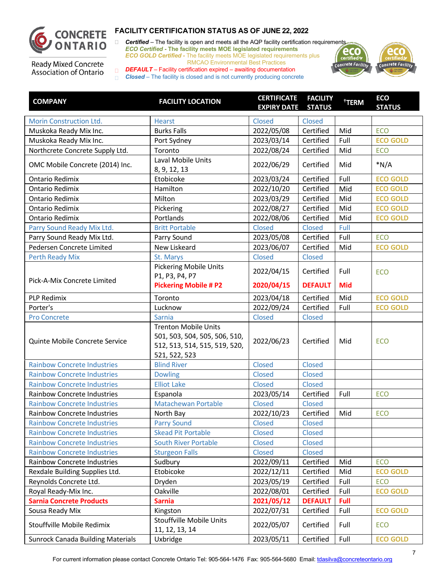

□ **Certified** – The facility is open and meets all the AQP facility certification requirements *ECO Certified -* **The facility meets MOE legislated requirements** *ECO GOLD Certified -* The facility meets MOE legislated requirements plus RMCAO Environmental Best Practices



**Ready Mixed Concrete** Association of Ontario

| <b>COMPANY</b>                           | <b>FACILITY LOCATION</b>                                                                                       | <b>CERTIFICATE</b><br><b>EXPIRY DATE STATUS</b> | <b>FACILITY</b> | <sup>†</sup> TERM | <b>ECO</b><br><b>STATUS</b> |
|------------------------------------------|----------------------------------------------------------------------------------------------------------------|-------------------------------------------------|-----------------|-------------------|-----------------------------|
| Morin Construction Ltd.                  | <b>Hearst</b>                                                                                                  | <b>Closed</b>                                   | Closed          |                   |                             |
| Muskoka Ready Mix Inc.                   | <b>Burks Falls</b>                                                                                             | 2022/05/08                                      | Certified       | Mid               | ECO                         |
| Muskoka Ready Mix Inc.                   | Port Sydney                                                                                                    | 2023/03/14                                      | Certified       | Full              | <b>ECO GOLD</b>             |
| Northcrete Concrete Supply Ltd.          | Toronto                                                                                                        | 2022/08/24                                      | Certified       | Mid               | <b>ECO</b>                  |
| OMC Mobile Concrete (2014) Inc.          | Laval Mobile Units<br>8, 9, 12, 13                                                                             | 2022/06/29                                      | Certified       | Mid               | $*N/A$                      |
| Ontario Redimix                          | Etobicoke                                                                                                      | 2023/03/24                                      | Certified       | Full              | <b>ECO GOLD</b>             |
| <b>Ontario Redimix</b>                   | Hamilton                                                                                                       | 2022/10/20                                      | Certified       | Mid               | <b>ECO GOLD</b>             |
| <b>Ontario Redimix</b>                   | Milton                                                                                                         | 2023/03/29                                      | Certified       | Mid               | <b>ECO GOLD</b>             |
| <b>Ontario Redimix</b>                   | Pickering                                                                                                      | 2022/08/27                                      | Certified       | Mid               | <b>ECO GOLD</b>             |
| <b>Ontario Redimix</b>                   | Portlands                                                                                                      | 2022/08/06                                      | Certified       | Mid               | <b>ECO GOLD</b>             |
| Parry Sound Ready Mix Ltd.               | <b>Britt Portable</b>                                                                                          | Closed                                          | Closed          | Full              |                             |
| Parry Sound Ready Mix Ltd.               | Parry Sound                                                                                                    | 2023/05/08                                      | Certified       | Full              | <b>ECO</b>                  |
| Pedersen Concrete Limited                | New Liskeard                                                                                                   | 2023/06/07                                      | Certified       | Mid               | <b>ECO GOLD</b>             |
| <b>Perth Ready Mix</b>                   | St. Marys                                                                                                      | Closed                                          | Closed          |                   |                             |
|                                          | <b>Pickering Mobile Units</b><br>P1, P3, P4, P7                                                                | 2022/04/15                                      | Certified       | Full              | <b>ECO</b>                  |
| Pick-A-Mix Concrete Limited              | <b>Pickering Mobile # P2</b>                                                                                   | 2020/04/15                                      | <b>DEFAULT</b>  | <b>Mid</b>        |                             |
| <b>PLP Redimix</b>                       | Toronto                                                                                                        | 2023/04/18                                      | Certified       | Mid               | <b>ECO GOLD</b>             |
| Porter's                                 | Lucknow                                                                                                        | 2022/09/24                                      | Certified       | Full              | <b>ECO GOLD</b>             |
| <b>Pro Concrete</b>                      | Sarnia                                                                                                         | <b>Closed</b>                                   | Closed          |                   |                             |
| Quinte Mobile Concrete Service           | <b>Trenton Mobile Units</b><br>501, 503, 504, 505, 506, 510,<br>512, 513, 514, 515, 519, 520,<br>521, 522, 523 | 2022/06/23                                      | Certified       | Mid               | <b>ECO</b>                  |
| <b>Rainbow Concrete Industries</b>       | <b>Blind River</b>                                                                                             | <b>Closed</b>                                   | Closed          |                   |                             |
| <b>Rainbow Concrete Industries</b>       | <b>Dowling</b>                                                                                                 | <b>Closed</b>                                   | Closed          |                   |                             |
| <b>Rainbow Concrete Industries</b>       | <b>Elliot Lake</b>                                                                                             | Closed                                          | Closed          |                   |                             |
| Rainbow Concrete Industries              | Espanola                                                                                                       | 2023/05/14                                      | Certified       | Full              | ECO                         |
| <b>Rainbow Concrete Industries</b>       | <b>Matachewan Portable</b>                                                                                     | Closed                                          | Closed          |                   |                             |
| <b>Rainbow Concrete Industries</b>       | North Bay                                                                                                      | 2022/10/23                                      | Certified       | Mid               | ECO                         |
| <b>Rainbow Concrete Industries</b>       | <b>Parry Sound</b>                                                                                             | Closed                                          | Closed          |                   |                             |
| <b>Rainbow Concrete Industries</b>       | <b>Skead Pit Portable</b>                                                                                      | <b>Closed</b>                                   | <b>Closed</b>   |                   |                             |
| <b>Rainbow Concrete Industries</b>       | <b>South River Portable</b>                                                                                    | <b>Closed</b>                                   | Closed          |                   |                             |
| <b>Rainbow Concrete Industries</b>       | <b>Sturgeon Falls</b>                                                                                          | <b>Closed</b>                                   | <b>Closed</b>   |                   |                             |
| Rainbow Concrete Industries              | Sudbury                                                                                                        | 2022/09/11                                      | Certified       | Mid               | ECO                         |
| Rexdale Building Supplies Ltd.           | Etobicoke                                                                                                      | 2022/12/11                                      | Certified       | Mid               | <b>ECO GOLD</b>             |
| Reynolds Concrete Ltd.                   | Dryden                                                                                                         | 2023/05/19                                      | Certified       | Full              | ECO                         |
| Royal Ready-Mix Inc.                     | Oakville                                                                                                       | 2022/08/01                                      | Certified       | Full              | <b>ECO GOLD</b>             |
| <b>Sarnia Concrete Products</b>          | <b>Sarnia</b>                                                                                                  | 2021/05/12                                      | <b>DEFAULT</b>  | Full              |                             |
| Sousa Ready Mix                          | Kingston                                                                                                       | 2022/07/31                                      | Certified       | Full              | <b>ECO GOLD</b>             |
| Stouffville Mobile Redimix               | Stouffville Mobile Units<br>11, 12, 13, 14                                                                     | 2022/05/07                                      | Certified       | Full              | ECO                         |
| <b>Sunrock Canada Building Materials</b> | Uxbridge                                                                                                       | 2023/05/11                                      | Certified       | Full              | <b>ECO GOLD</b>             |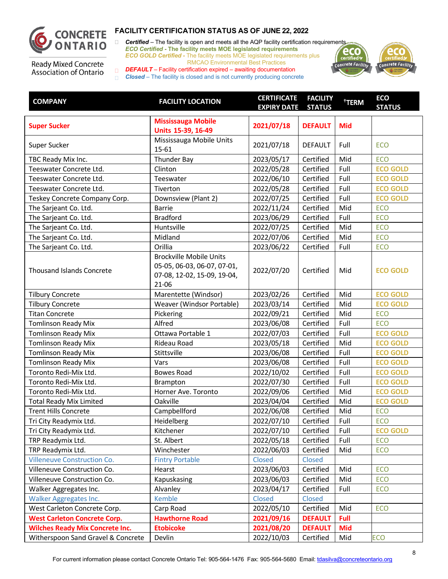

□ **Certified** – The facility is open and meets all the AQP facility certification requirements *ECO Certified -* **The facility meets MOE legislated requirements** *ECO GOLD Certified -* The facility meets MOE legislated requirements plus RMCAO Environmental Best Practices



**Ready Mixed Concrete** Association of Ontario

| <b>COMPANY</b>                         | <b>FACILITY LOCATION</b>                                                                                  | <b>CERTIFICATE</b><br><b>EXPIRY DATE</b> | <b>FACILITY</b><br><b>STATUS</b> | <sup>†</sup> TERM | <b>ECO</b><br><b>STATUS</b> |
|----------------------------------------|-----------------------------------------------------------------------------------------------------------|------------------------------------------|----------------------------------|-------------------|-----------------------------|
| <b>Super Sucker</b>                    | <b>Mississauga Mobile</b><br>Units 15-39, 16-49                                                           | 2021/07/18                               | <b>DEFAULT</b>                   | <b>Mid</b>        |                             |
| Super Sucker                           | Mississauga Mobile Units<br>15-61                                                                         | 2021/07/18                               | <b>DEFAULT</b>                   | Full              | <b>ECO</b>                  |
| TBC Ready Mix Inc.                     | Thunder Bay                                                                                               | 2023/05/17                               | Certified                        | Mid               | <b>ECO</b>                  |
| Teeswater Concrete Ltd.                | Clinton                                                                                                   | 2022/05/28                               | Certified                        | Full              | <b>ECO GOLD</b>             |
| Teeswater Concrete Ltd.                | Teeswater                                                                                                 | 2022/06/10                               | Certified                        | Full              | <b>ECO GOLD</b>             |
| Teeswater Concrete Ltd.                | Tiverton                                                                                                  | 2022/05/28                               | Certified                        | Full              | <b>ECO GOLD</b>             |
| Teskey Concrete Company Corp.          | Downsview (Plant 2)                                                                                       | 2022/07/25                               | Certified                        | Full              | <b>ECO GOLD</b>             |
| The Sarjeant Co. Ltd.                  | <b>Barrie</b>                                                                                             | 2022/11/24                               | Certified                        | Mid               | ECO                         |
| The Sarjeant Co. Ltd.                  | <b>Bradford</b>                                                                                           | 2023/06/29                               | Certified                        | Full              | ECO                         |
| The Sarjeant Co. Ltd.                  | Huntsville                                                                                                | 2022/07/25                               | Certified                        | Mid               | ECO                         |
| The Sarjeant Co. Ltd.                  | Midland                                                                                                   | 2022/07/06                               | Certified                        | Mid               | ECO                         |
| The Sarjeant Co. Ltd.                  | Orillia                                                                                                   | 2023/06/22                               | Certified                        | Full              | <b>ECO</b>                  |
| <b>Thousand Islands Concrete</b>       | <b>Brockville Mobile Units</b><br>05-05, 06-03, 06-07, 07-01,<br>07-08, 12-02, 15-09, 19-04,<br>$21 - 06$ | 2022/07/20                               | Certified                        | Mid               | <b>ECO GOLD</b>             |
| <b>Tilbury Concrete</b>                | Marentette (Windsor)                                                                                      | 2023/02/26                               | Certified                        | Mid               | <b>ECO GOLD</b>             |
| <b>Tilbury Concrete</b>                | Weaver (Windsor Portable)                                                                                 | 2023/03/14                               | Certified                        | Mid               | <b>ECO GOLD</b>             |
| <b>Titan Concrete</b>                  | Pickering                                                                                                 | 2022/09/21                               | Certified                        | Mid               | <b>ECO</b>                  |
| <b>Tomlinson Ready Mix</b>             | Alfred                                                                                                    | 2023/06/08                               | Certified                        | Full              | ECO                         |
| <b>Tomlinson Ready Mix</b>             | Ottawa Portable 1                                                                                         | 2022/07/03                               | Certified                        | Full              | <b>ECO GOLD</b>             |
| <b>Tomlinson Ready Mix</b>             | Rideau Road                                                                                               | 2023/05/18                               | Certified                        | Mid               | <b>ECO GOLD</b>             |
| <b>Tomlinson Ready Mix</b>             | Stittsville                                                                                               | 2023/06/08                               | Certified                        | Full              | <b>ECO GOLD</b>             |
| <b>Tomlinson Ready Mix</b>             | Vars                                                                                                      | 2023/06/08                               | Certified                        | Full              | <b>ECO GOLD</b>             |
| Toronto Redi-Mix Ltd.                  | <b>Bowes Road</b>                                                                                         | 2022/10/02                               | Certified                        | Full              | <b>ECO GOLD</b>             |
| Toronto Redi-Mix Ltd.                  | Brampton                                                                                                  | 2022/07/30                               | Certified                        | Full              | <b>ECO GOLD</b>             |
| Toronto Redi-Mix Ltd.                  | Horner Ave. Toronto                                                                                       | 2022/09/06                               | Certified                        | Mid               | <b>ECO GOLD</b>             |
| <b>Total Ready Mix Limited</b>         | Oakville                                                                                                  | 2023/04/04                               | Certified                        | Mid               | <b>ECO GOLD</b>             |
| <b>Trent Hills Concrete</b>            | Campbellford                                                                                              | 2022/06/08                               | Certified                        | Mid               | ECO                         |
| Tri City Readymix Ltd.                 | Heidelberg                                                                                                | 2022/07/10                               | Certified                        | Full              | ECO                         |
| Tri City Readymix Ltd.                 | Kitchener                                                                                                 | 2022/07/10                               | Certified                        | Full              | <b>ECO GOLD</b>             |
| TRP Readymix Ltd.                      | St. Albert                                                                                                | 2022/05/18                               | Certified                        | Full              | <b>ECO</b>                  |
| TRP Readymix Ltd.                      | Winchester                                                                                                | 2022/06/03                               | Certified                        | Mid               | <b>ECO</b>                  |
| <b>Villeneuve Construction Co.</b>     | <b>Fintry Portable</b>                                                                                    | Closed                                   | Closed                           |                   |                             |
| Villeneuve Construction Co.            | Hearst                                                                                                    | 2023/06/03                               | Certified                        | Mid               | <b>ECO</b>                  |
| Villeneuve Construction Co.            | Kapuskasing                                                                                               | 2023/06/03                               | Certified                        | Mid               | <b>ECO</b>                  |
| Walker Aggregates Inc.                 | Alvanley                                                                                                  | 2023/04/17                               | Certified                        | Full              | ECO                         |
| Walker Aggregates Inc.                 | <b>Kemble</b>                                                                                             | Closed                                   | Closed                           |                   |                             |
| West Carleton Concrete Corp.           | Carp Road                                                                                                 | 2022/05/10                               | Certified                        | Mid               | ECO                         |
| <b>West Carleton Concrete Corp.</b>    | <b>Hawthorne Road</b>                                                                                     | 2021/09/16                               | <b>DEFAULT</b>                   | Full              |                             |
| <b>Wilches Ready Mix Concrete Inc.</b> | <b>Etobicoke</b>                                                                                          | 2021/08/20                               | <b>DEFAULT</b>                   | <b>Mid</b>        |                             |
| Witherspoon Sand Gravel & Concrete     | Devlin                                                                                                    | 2022/10/03                               | Certified                        | Mid               | <b>ECO</b>                  |